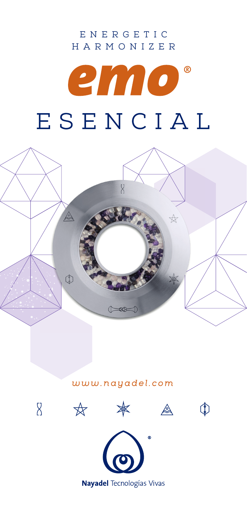## ENERGETIC HARMONIZER

# $^{\circ}$ emo ESENCIAL



### *www.nayadel.com*